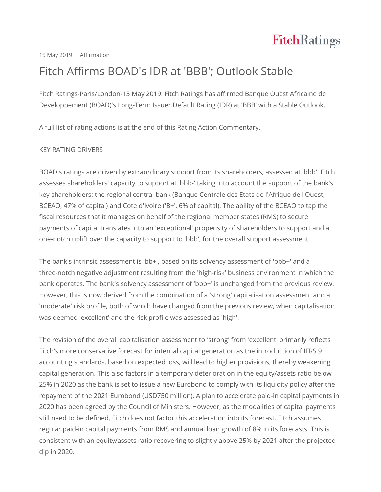

# Fitch Affirms BOAD's IDR at 'BBB'; Outlook Stable

Fitch Ratings-Paris/London-15 May 2019: Fitch Ratings has affirmed Banque Ouest Africaine de Developpement (BOAD)'s Long-Term Issuer Default Rating (IDR) at 'BBB' with a Stable Outlook.

A full list of rating actions is at the end of this Rating Action Commentary.

## KEY RATING DRIVERS

BOAD's ratings are driven by extraordinary support from its shareholders, assessed at 'bbb'. Fitch assesses shareholders' capacity to support at 'bbb-' taking into account the support of the bank's key shareholders: the regional central bank (Banque Centrale des Etats de l'Afrique de l'Ouest, BCEAO, 47% of capital) and Cote d'Ivoire ('B+', 6% of capital). The ability of the BCEAO to tap the fiscal resources that it manages on behalf of the regional member states (RMS) to secure payments of capital translates into an 'exceptional' propensity of shareholders to support and a one-notch uplift over the capacity to support to 'bbb', for the overall support assessment.

The bank's intrinsic assessment is 'bb+', based on its solvency assessment of 'bbb+' and a three-notch negative adjustment resulting from the 'high-risk' business environment in which the bank operates. The bank's solvency assessment of 'bbb+' is unchanged from the previous review. However, this is now derived from the combination of a 'strong' capitalisation assessment and a 'moderate' risk profile, both of which have changed from the previous review, when capitalisation was deemed 'excellent' and the risk profile was assessed as 'high'.

The revision of the overall capitalisation assessment to 'strong' from 'excellent' primarily reflects Fitch's more conservative forecast for internal capital generation as the introduction of IFRS 9 accounting standards, based on expected loss, will lead to higher provisions, thereby weakening capital generation. This also factors in a temporary deterioration in the equity/assets ratio below 25% in 2020 as the bank is set to issue a new Eurobond to comply with its liquidity policy after the repayment of the 2021 Eurobond (USD750 million). A plan to accelerate paid-in capital payments in 2020 has been agreed by the Council of Ministers. However, as the modalities of capital payments still need to be defined, Fitch does not factor this acceleration into its forecast. Fitch assumes regular paid-in capital payments from RMS and annual loan growth of 8% in its forecasts. This is consistent with an equity/assets ratio recovering to slightly above 25% by 2021 after the projected dip in 2020.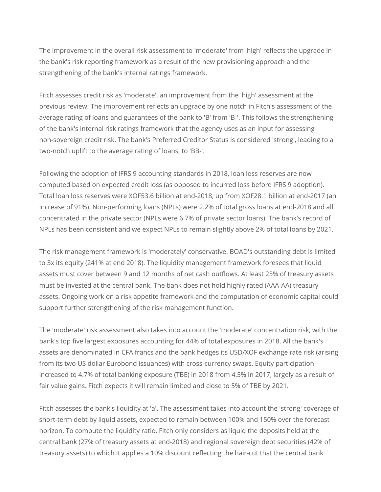The improvement in the overall risk assessment to 'moderate' from 'high' reflects the upgrade in the bank's risk reporting framework as a result of the new provisioning approach and the strengthening of the bank's internal ratings framework.

Fitch assesses credit risk as 'moderate', an improvement from the 'high' assessment at the previous review. The improvement reflects an upgrade by one notch in Fitch's assessment of the average rating of loans and guarantees of the bank to 'B' from 'B-'. This follows the strengthening of the bank's internal risk ratings framework that the agency uses as an input for assessing non-sovereign credit risk. The bank's Preferred Creditor Status is considered 'strong', leading to a two-notch uplift to the average rating of loans, to 'BB-'.

Following the adoption of IFRS 9 accounting standards in 2018, loan loss reserves are now computed based on expected credit loss (as opposed to incurred loss before IFRS 9 adoption). Total loan loss reserves were XOF53.6 billion at end-2018, up from XOF28.1 billion at end-2017 (an increase of 91%). Non-performing loans (NPLs) were 2.2% of total gross loans at end-2018 and all concentrated in the private sector (NPLs were 6.7% of private sector loans). The bank's record of NPLs has been consistent and we expect NPLs to remain slightly above 2% of total loans by 2021.

The risk management framework is 'moderately' conservative. BOAD's outstanding debt is limited to 3x its equity (241% at end 2018). The liquidity management framework foresees that liquid assets must cover between 9 and 12 months of net cash outflows. At least 25% of treasury assets must be invested at the central bank. The bank does not hold highly rated (AAA-AA) treasury assets. Ongoing work on a risk appetite framework and the computation of economic capital could support further strengthening of the risk management function.

The 'moderate' risk assessment also takes into account the 'moderate' concentration risk, with the bank's top five largest exposures accounting for 44% of total exposures in 2018. All the bank's assets are denominated in CFA francs and the bank hedges its USD/XOF exchange rate risk (arising from its two US dollar Eurobond issuances) with cross-currency swaps. Equity participation increased to 4.7% of total banking exposure (TBE) in 2018 from 4.5% in 2017, largely as a result of fair value gains. Fitch expects it will remain limited and close to 5% of TBE by 2021.

Fitch assesses the bank's liquidity at 'a'. The assessment takes into account the 'strong' coverage of short-term debt by liquid assets, expected to remain between 100% and 150% over the forecast horizon. To compute the liquidity ratio, Fitch only considers as liquid the deposits held at the central bank (27% of treasury assets at end-2018) and regional sovereign debt securities (42% of treasury assets) to which it applies a 10% discount reflecting the hair-cut that the central bank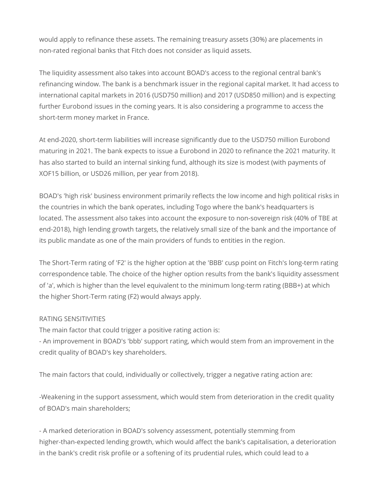would apply to refinance these assets. The remaining treasury assets (30%) are placements in non-rated regional banks that Fitch does not consider as liquid assets.

The liquidity assessment also takes into account BOAD's access to the regional central bank's refinancing window. The bank is a benchmark issuer in the regional capital market. It had access to international capital markets in 2016 (USD750 million) and 2017 (USD850 million) and is expecting further Eurobond issues in the coming years. It is also considering a programme to access the short-term money market in France.

At end-2020, short-term liabilities will increase significantly due to the USD750 million Eurobond maturing in 2021. The bank expects to issue a Eurobond in 2020 to refinance the 2021 maturity. It has also started to build an internal sinking fund, although its size is modest (with payments of XOF15 billion, or USD26 million, per year from 2018).

BOAD's 'high risk' business environment primarily reflects the low income and high political risks in the countries in which the bank operates, including Togo where the bank's headquarters is located. The assessment also takes into account the exposure to non-sovereign risk (40% of TBE at end-2018), high lending growth targets, the relatively small size of the bank and the importance of its public mandate as one of the main providers of funds to entities in the region.

The Short-Term rating of 'F2' is the higher option at the 'BBB' cusp point on Fitch's long-term rating correspondence table. The choice of the higher option results from the bank's liquidity assessment of 'a', which is higher than the level equivalent to the minimum long-term rating (BBB+) at which the higher Short-Term rating (F2) would always apply.

### RATING SENSITIVITIES

The main factor that could trigger a positive rating action is:

- An improvement in BOAD's 'bbb' support rating, which would stem from an improvement in the credit quality of BOAD's key shareholders.

The main factors that could, individually or collectively, trigger a negative rating action are:

-Weakening in the support assessment, which would stem from deterioration in the credit quality of BOAD's main shareholders;

- A marked deterioration in BOAD's solvency assessment, potentially stemming from higher-than-expected lending growth, which would affect the bank's capitalisation, a deterioration in the bank's credit risk profile or a softening of its prudential rules, which could lead to a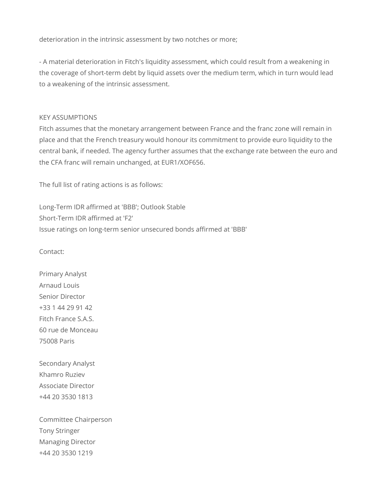deterioration in the intrinsic assessment by two notches or more;

- A material deterioration in Fitch's liquidity assessment, which could result from a weakening in the coverage of short-term debt by liquid assets over the medium term, which in turn would lead to a weakening of the intrinsic assessment.

### KEY ASSUMPTIONS

Fitch assumes that the monetary arrangement between France and the franc zone will remain in place and that the French treasury would honour its commitment to provide euro liquidity to the central bank, if needed. The agency further assumes that the exchange rate between the euro and the CFA franc will remain unchanged, at EUR1/XOF656.

The full list of rating actions is as follows:

Long-Term IDR affirmed at 'BBB'; Outlook Stable Short-Term IDR affirmed at 'F2' Issue ratings on long-term senior unsecured bonds affirmed at 'BBB'

Contact:

Primary Analyst Arnaud Louis Senior Director +33 1 44 29 91 42 Fitch France S.A.S. 60 rue de Monceau 75008 Paris

Secondary Analyst Khamro Ruziev Associate Director +44 20 3530 1813

Committee Chairperson Tony Stringer Managing Director +44 20 3530 1219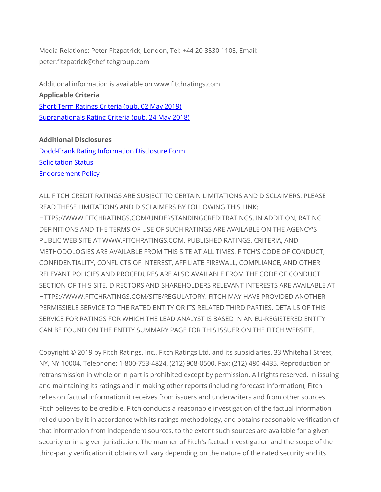Media Relations: Peter Fitzpatrick, London, Tel: +44 20 3530 1103, Email: peter.fitzpatrick@thefitchgroup.com

Additional information is available on www.fitchratings.com **Applicable Criteria** [Short-Term Ratings Criteria \(pub. 02 May 2019\)](/app.fitchconnect.com/search/research/article/RPT_10073011) [Supranationals Rating Criteria \(pub. 24 May 2018\)](/app.fitchconnect.com/search/research/article/RPT_10031448)

#### **Additional Disclosures**

[Dodd-Frank Rating Information Disclosure Form](https://www.fitchratings.com/site/dodd-frank-disclosure/10075618) [Solicitation Status](https://www.fitchratings.com/site/pr/10075618#solicitation) [Endorsement Policy](https://www.fitchratings.com/regulatory)

ALL FITCH CREDIT RATINGS ARE SUBJECT TO CERTAIN LIMITATIONS AND DISCLAIMERS. PLEASE READ THESE LIMITATIONS AND DISCLAIMERS BY FOLLOWING THIS LINK: HTTPS://WWW.FITCHRATINGS.COM/UNDERSTANDINGCREDITRATINGS. IN ADDITION, RATING DEFINITIONS AND THE TERMS OF USE OF SUCH RATINGS ARE AVAILABLE ON THE AGENCY'S PUBLIC WEB SITE AT WWW.FITCHRATINGS.COM. PUBLISHED RATINGS, CRITERIA, AND METHODOLOGIES ARE AVAILABLE FROM THIS SITE AT ALL TIMES. FITCH'S CODE OF CONDUCT, CONFIDENTIALITY, CONFLICTS OF INTEREST, AFFILIATE FIREWALL, COMPLIANCE, AND OTHER RELEVANT POLICIES AND PROCEDURES ARE ALSO AVAILABLE FROM THE CODE OF CONDUCT SECTION OF THIS SITE. DIRECTORS AND SHAREHOLDERS RELEVANT INTERESTS ARE AVAILABLE AT HTTPS://WWW.FITCHRATINGS.COM/SITE/REGULATORY. FITCH MAY HAVE PROVIDED ANOTHER PERMISSIBLE SERVICE TO THE RATED ENTITY OR ITS RELATED THIRD PARTIES. DETAILS OF THIS SERVICE FOR RATINGS FOR WHICH THE LEAD ANALYST IS BASED IN AN EU-REGISTERED ENTITY CAN BE FOUND ON THE ENTITY SUMMARY PAGE FOR THIS ISSUER ON THE FITCH WEBSITE.

Copyright © 2019 by Fitch Ratings, Inc., Fitch Ratings Ltd. and its subsidiaries. 33 Whitehall Street, NY, NY 10004. Telephone: 1-800-753-4824, (212) 908-0500. Fax: (212) 480-4435. Reproduction or retransmission in whole or in part is prohibited except by permission. All rights reserved. In issuing and maintaining its ratings and in making other reports (including forecast information), Fitch relies on factual information it receives from issuers and underwriters and from other sources Fitch believes to be credible. Fitch conducts a reasonable investigation of the factual information relied upon by it in accordance with its ratings methodology, and obtains reasonable verification of that information from independent sources, to the extent such sources are available for a given security or in a given jurisdiction. The manner of Fitch's factual investigation and the scope of the third-party verification it obtains will vary depending on the nature of the rated security and its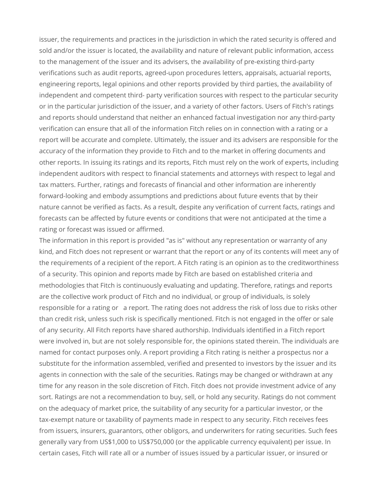issuer, the requirements and practices in the jurisdiction in which the rated security is offered and sold and/or the issuer is located, the availability and nature of relevant public information, access to the management of the issuer and its advisers, the availability of pre-existing third-party verifications such as audit reports, agreed-upon procedures letters, appraisals, actuarial reports, engineering reports, legal opinions and other reports provided by third parties, the availability of independent and competent third- party verification sources with respect to the particular security or in the particular jurisdiction of the issuer, and a variety of other factors. Users of Fitch's ratings and reports should understand that neither an enhanced factual investigation nor any third-party verification can ensure that all of the information Fitch relies on in connection with a rating or a report will be accurate and complete. Ultimately, the issuer and its advisers are responsible for the accuracy of the information they provide to Fitch and to the market in offering documents and other reports. In issuing its ratings and its reports, Fitch must rely on the work of experts, including independent auditors with respect to financial statements and attorneys with respect to legal and tax matters. Further, ratings and forecasts of financial and other information are inherently forward-looking and embody assumptions and predictions about future events that by their nature cannot be verified as facts. As a result, despite any verification of current facts, ratings and forecasts can be affected by future events or conditions that were not anticipated at the time a rating or forecast was issued or affirmed.

The information in this report is provided "as is" without any representation or warranty of any kind, and Fitch does not represent or warrant that the report or any of its contents will meet any of the requirements of a recipient of the report. A Fitch rating is an opinion as to the creditworthiness of a security. This opinion and reports made by Fitch are based on established criteria and methodologies that Fitch is continuously evaluating and updating. Therefore, ratings and reports are the collective work product of Fitch and no individual, or group of individuals, is solely responsible for a rating or a report. The rating does not address the risk of loss due to risks other than credit risk, unless such risk is specifically mentioned. Fitch is not engaged in the offer or sale of any security. All Fitch reports have shared authorship. Individuals identified in a Fitch report were involved in, but are not solely responsible for, the opinions stated therein. The individuals are named for contact purposes only. A report providing a Fitch rating is neither a prospectus nor a substitute for the information assembled, verified and presented to investors by the issuer and its agents in connection with the sale of the securities. Ratings may be changed or withdrawn at any time for any reason in the sole discretion of Fitch. Fitch does not provide investment advice of any sort. Ratings are not a recommendation to buy, sell, or hold any security. Ratings do not comment on the adequacy of market price, the suitability of any security for a particular investor, or the tax-exempt nature or taxability of payments made in respect to any security. Fitch receives fees from issuers, insurers, guarantors, other obligors, and underwriters for rating securities. Such fees generally vary from US\$1,000 to US\$750,000 (or the applicable currency equivalent) per issue. In certain cases, Fitch will rate all or a number of issues issued by a particular issuer, or insured or